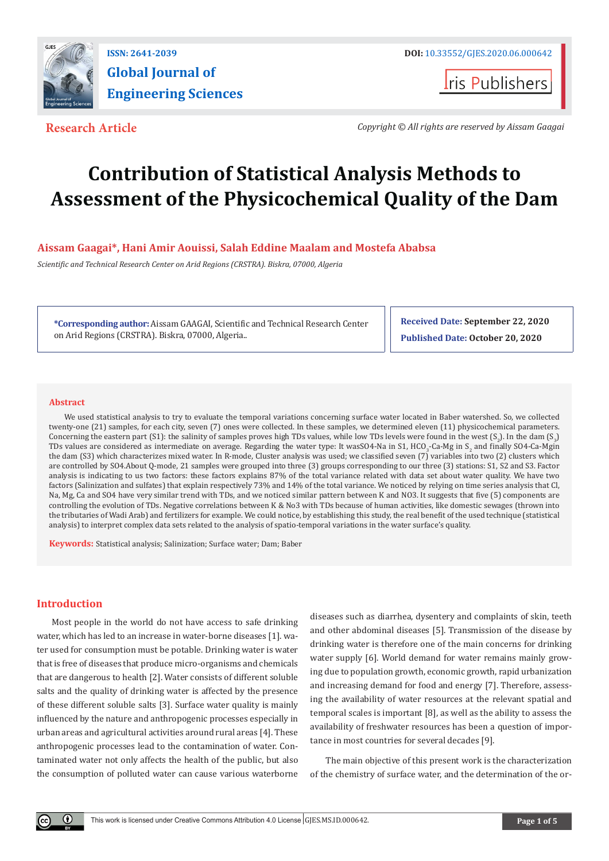

**Iris Publishers** 

**Research Article** *Copyright © All rights are reserved by Aissam Gaagai*

# **Contribution of Statistical Analysis Methods to Assessment of the Physicochemical Quality of the Dam**

## **Aissam Gaagai\*, Hani Amir Aouissi, Salah Eddine Maalam and Mostefa Ababsa**

*Scientific and Technical Research Center on Arid Regions (CRSTRA). Biskra, 07000, Algeria*

**\*Corresponding author:** Aissam GAAGAI, Scientific and Technical Research Center on Arid Regions (CRSTRA). Biskra, 07000, Algeria..

**Received Date: September 22, 2020 Published Date: October 20, 2020**

#### **Abstract**

We used statistical analysis to try to evaluate the temporal variations concerning surface water located in Baber watershed. So, we collected twenty-one (21) samples, for each city, seven (7) ones were collected. In these samples, we determined eleven (11) physicochemical parameters. Concerning the eastern part (S1): the salinity of samples proves high TDs values, while low TDs levels were found in the west (S<sub>2</sub>). In the dam (S<sub>3</sub>) TDs values are considered as intermediate on average. Regarding the water type: It was  $0.4$ -Na in S1, HCO<sub>3</sub>-Ca-Mg in S<sub>2</sub> and finally SO4-Ca-Mgin the dam (S3) which characterizes mixed water. In R-mode, Cluster analysis was used; we classified seven (7) variables into two (2) clusters which are controlled by SO4.About Q-mode, 21 samples were grouped into three (3) groups corresponding to our three (3) stations: S1, S2 and S3. Factor analysis is indicating to us two factors: these factors explains 87% of the total variance related with data set about water quality. We have two factors (Salinization and sulfates) that explain respectively 73% and 14% of the total variance. We noticed by relying on time series analysis that Cl, Na, Mg, Ca and SO4 have very similar trend with TDs, and we noticed similar pattern between K and NO3. It suggests that five (5) components are controlling the evolution of TDs. Negative correlations between K & No3 with TDs because of human activities, like domestic sewages (thrown into the tributaries of Wadi Arab) and fertilizers for example. We could notice, by establishing this study, the real benefit of the used technique (statistical analysis) to interpret complex data sets related to the analysis of spatio-temporal variations in the water surface's quality.

**Keywords:** Statistical analysis; Salinization; Surface water; Dam; Baber

### **Introduction**

 $\left( \mathbf{r} \right)$ 

Most people in the world do not have access to safe drinking water, which has led to an increase in water-borne diseases [1]. water used for consumption must be potable. Drinking water is water that is free of diseases that produce micro-organisms and chemicals that are dangerous to health [2]. Water consists of different soluble salts and the quality of drinking water is affected by the presence of these different soluble salts [3]. Surface water quality is mainly influenced by the nature and anthropogenic processes especially in urban areas and agricultural activities around rural areas [4]. These anthropogenic processes lead to the contamination of water. Contaminated water not only affects the health of the public, but also the consumption of polluted water can cause various waterborne diseases such as diarrhea, dysentery and complaints of skin, teeth and other abdominal diseases [5]. Transmission of the disease by drinking water is therefore one of the main concerns for drinking water supply [6]. World demand for water remains mainly growing due to population growth, economic growth, rapid urbanization and increasing demand for food and energy [7]. Therefore, assessing the availability of water resources at the relevant spatial and temporal scales is important [8], as well as the ability to assess the availability of freshwater resources has been a question of importance in most countries for several decades [9].

The main objective of this present work is the characterization of the chemistry of surface water, and the determination of the or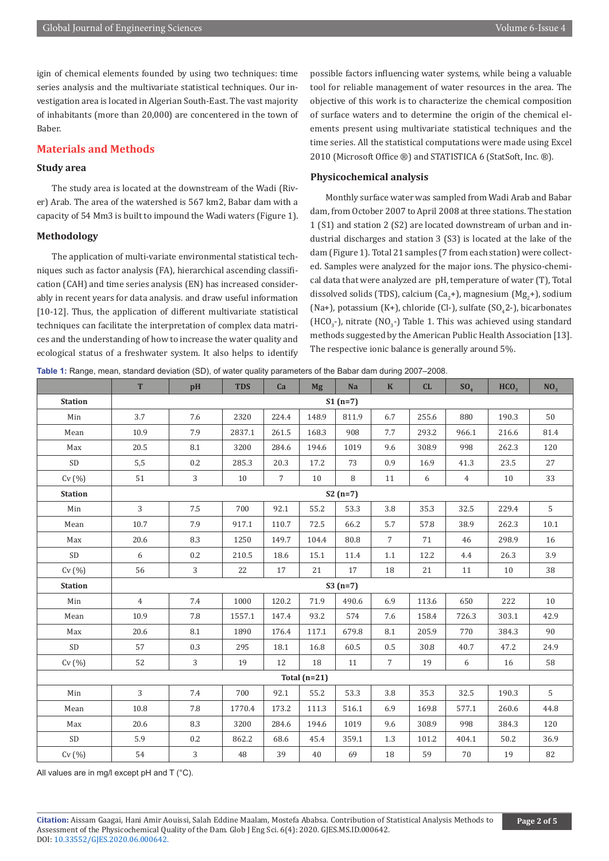igin of chemical elements founded by using two techniques: time series analysis and the multivariate statistical techniques. Our investigation area is located in Algerian South-East. The vast majority of inhabitants (more than 20,000) are concentered in the town of Baber.

#### **Materials and Methods**

#### **Study area**

The study area is located at the downstream of the Wadi (River) Arab. The area of the watershed is 567 km2, Babar dam with a capacity of 54 Mm3 is built to impound the Wadi waters (Figure 1).

#### **Methodology**

The application of multi-variate environmental statistical techniques such as factor analysis (FA), hierarchical ascending classification (CAH) and time series analysis (EN) has increased considerably in recent years for data analysis. and draw useful information [10-12]. Thus, the application of different multivariate statistical techniques can facilitate the interpretation of complex data matrices and the understanding of how to increase the water quality and ecological status of a freshwater system. It also helps to identify possible factors influencing water systems, while being a valuable tool for reliable management of water resources in the area. The objective of this work is to characterize the chemical composition of surface waters and to determine the origin of the chemical elements present using multivariate statistical techniques and the time series. All the statistical computations were made using Excel 2010 (Microsoft Office ®) and STATISTICA 6 (StatSoft, Inc. ®).

#### **Physicochemical analysis**

Monthly surface water was sampled from Wadi Arab and Babar dam, from October 2007 to April 2008 at three stations. The station 1 (S1) and station 2 (S2) are located downstream of urban and industrial discharges and station 3 (S3) is located at the lake of the dam (Figure 1). Total 21 samples (7 from each station) were collected. Samples were analyzed for the major ions. The physico-chemical data that were analyzed are pH, temperature of water (T), Total dissolved solids (TDS), calcium (Ca<sub>2</sub>+), magnesium (Mg<sub>2</sub>+), sodium (Na+), potassium (K+), chloride (Cl-), sulfate (SO<sub>4</sub>2-), bicarbonates  $(HCO<sub>3</sub>$ -), nitrate  $(NO<sub>3</sub>$ -) Table 1. This was achieved using standard methods suggested by the American Public Health Association [13]. The respective ionic balance is generally around 5%.

**Table 1:** Range, mean, standard deviation (SD), of water quality parameters of the Babar dam during 2007–2008.

|                | T              | pH  | <b>TDS</b> | Ca             | <b>Mg</b> | Na    | $\mathbf K$    | CL    | SO <sub>4</sub> | HCO <sub>2</sub> | NO <sub>3</sub> |
|----------------|----------------|-----|------------|----------------|-----------|-------|----------------|-------|-----------------|------------------|-----------------|
| <b>Station</b> | $S1(n=7)$      |     |            |                |           |       |                |       |                 |                  |                 |
| Min            | 3.7            | 7.6 | 2320       | 224.4          | 148.9     | 811.9 | 6.7            | 255.6 | 880             | 190.3            | 50              |
| Mean           | 10.9           | 7.9 | 2837.1     | 261.5          | 168.3     | 908   | 7.7            | 293.2 | 966.1           | 216.6            | 81.4            |
| Max            | 20.5           | 8.1 | 3200       | 284.6          | 194.6     | 1019  | 9.6            | 308.9 | 998             | 262.3            | 120             |
| $\rm SD$       | 5,5            | 0.2 | 285.3      | 20.3           | 17.2      | 73    | 0.9            | 16.9  | 41.3            | 23.5             | 27              |
| Cv(%)          | 51             | 3   | 10         | $\overline{7}$ | 10        | 8     | 11             | 6     | $\overline{4}$  | 10               | 33              |
| <b>Station</b> | $S2(n=7)$      |     |            |                |           |       |                |       |                 |                  |                 |
| Min            | 3              | 7.5 | 700        | 92.1           | 55.2      | 53.3  | 3.8            | 35.3  | 32.5            | 229.4            | 5               |
| Mean           | 10.7           | 7.9 | 917.1      | 110.7          | 72.5      | 66.2  | 5.7            | 57.8  | 38.9            | 262.3            | $10.1\,$        |
| Max            | 20.6           | 8.3 | 1250       | 149.7          | 104.4     | 80.8  | $\overline{7}$ | 71    | 46              | 298.9            | 16              |
| $\rm SD$       | 6              | 0.2 | 210.5      | 18.6           | 15.1      | 11.4  | $1.1\,$        | 12.2  | 4.4             | 26.3             | 3.9             |
| Cv(%)          | 56             | 3   | 22         | 17             | 21        | 17    | 18             | 21    | 11              | 10               | 38              |
| <b>Station</b> | $S3(n=7)$      |     |            |                |           |       |                |       |                 |                  |                 |
| Min            | $\overline{4}$ | 7.4 | 1000       | 120.2          | 71.9      | 490.6 | 6.9            | 113.6 | 650             | 222              | 10              |
| Mean           | 10.9           | 7.8 | 1557.1     | 147.4          | 93.2      | 574   | 7.6            | 158.4 | 726.3           | 303.1            | 42.9            |
| Max            | 20.6           | 8.1 | 1890       | 176.4          | 117.1     | 679.8 | 8.1            | 205.9 | 770             | 384.3            | 90              |
| $\mbox{SD}$    | 57             | 0.3 | 295        | 18.1           | 16.8      | 60.5  | $0.5\,$        | 30.8  | 40.7            | 47.2             | 24.9            |
| Cv(%)          | 52             | 3   | 19         | 12             | 18        | 11    | $\overline{7}$ | 19    | 6               | 16               | 58              |
| Total $(n=21)$ |                |     |            |                |           |       |                |       |                 |                  |                 |
| Min            | 3              | 7.4 | 700        | 92.1           | 55.2      | 53.3  | 3.8            | 35.3  | 32.5            | 190.3            | 5               |
| Mean           | 10.8           | 7.8 | 1770.4     | 173.2          | 111.3     | 516.1 | 6.9            | 169.8 | 577.1           | 260.6            | 44.8            |
| Max            | 20.6           | 8.3 | 3200       | 284.6          | 194.6     | 1019  | 9.6            | 308.9 | 998             | 384.3            | 120             |
| $\rm SD$       | 5.9            | 0.2 | 862.2      | 68.6           | 45.4      | 359.1 | 1.3            | 101.2 | 404.1           | 50.2             | 36.9            |
| Cv(%)          | 54             | 3   | 48         | 39             | 40        | 69    | 18             | 59    | 70              | 19               | 82              |

All values are in mg/l except pH and T (°C).

**Citation:** Aissam Gaagai, Hani Amir Aouissi, Salah Eddine Maalam, Mostefa Ababsa. Contribution of Statistical Analysis Methods to Assessment of the Physicochemical Quality of the Dam. Glob J Eng Sci. 6(4): 2020. GJES.MS.ID.000642. DOI: [10.33552/GJES.2020.06.000642.](http://dx.doi.org/10.33552/GJES.2020.06.000642)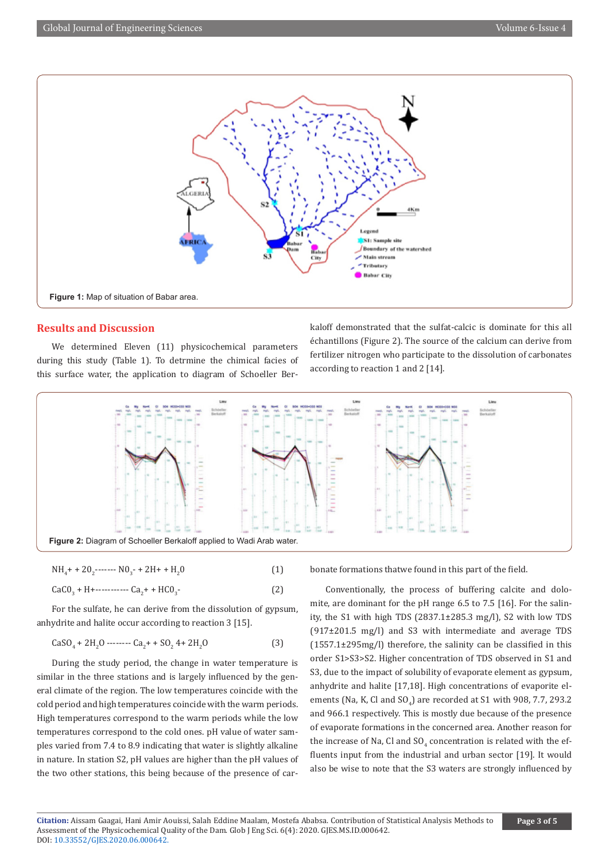

#### **Results and Discussion**

We determined Eleven (11) physicochemical parameters during this study (Table 1). To detrmine the chimical facies of this surface water, the application to diagram of Schoeller Berkaloff demonstrated that the sulfat-calcic is dominate for this all échantillons (Figure 2). The source of the calcium can derive from fertilizer nitrogen who participate to the dissolution of carbonates according to reaction 1 and 2 [14].



$$
NH4 + 202........ No3 + 2H + H20
$$
 (1)

$$
CaCO3 + H + \dots + Ca2 + HCO3.
$$
 (2)

For the sulfate, he can derive from the dissolution of gypsum, anhydrite and halite occur according to reaction 3 [15].

$$
CaSO4 + 2H2O
$$
----Ca<sub>2</sub> + + SO<sub>2</sub> 4 + 2H<sub>2</sub>O (3)

During the study period, the change in water temperature is similar in the three stations and is largely influenced by the general climate of the region. The low temperatures coincide with the cold period and high temperatures coincide with the warm periods. High temperatures correspond to the warm periods while the low temperatures correspond to the cold ones. pH value of water samples varied from 7.4 to 8.9 indicating that water is slightly alkaline in nature. In station S2, pH values are higher than the pH values of the two other stations, this being because of the presence of carbonate formations thatwe found in this part of the field.

Conventionally, the process of buffering calcite and dolomite, are dominant for the pH range 6.5 to 7.5 [16]. For the salinity, the S1 with high TDS (2837.1±285.3 mg/l), S2 with low TDS (917±201.5 mg/l) and S3 with intermediate and average TDS (1557.1±295mg/l) therefore, the salinity can be classified in this order S1>S3>S2. Higher concentration of TDS observed in S1 and S3, due to the impact of solubility of evaporate element as gypsum, anhydrite and halite [17,18]. High concentrations of evaporite elements (Na, K, Cl and  $\mathrm{SO}_4$ ) are recorded at S1 with 908, 7.7, 293.2 and 966.1 respectively. This is mostly due because of the presence of evaporate formations in the concerned area. Another reason for the increase of Na, CI and  $\mathrm{SO}_4$  concentration is related with the effluents input from the industrial and urban sector [19]. It would also be wise to note that the S3 waters are strongly influenced by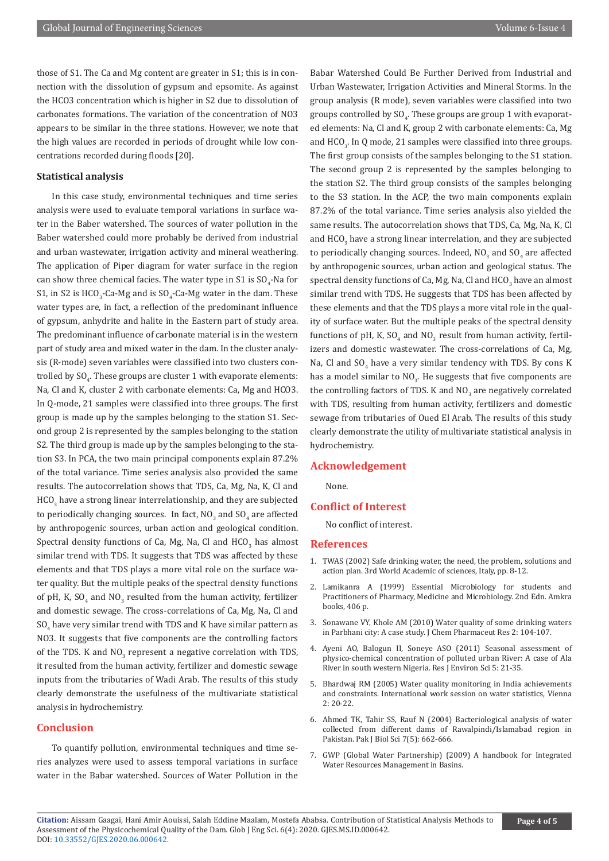those of S1. The Ca and Mg content are greater in S1; this is in connection with the dissolution of gypsum and epsomite. As against the HCO3 concentration which is higher in S2 due to dissolution of carbonates formations. The variation of the concentration of NO3 appears to be similar in the three stations. However, we note that the high values are recorded in periods of drought while low concentrations recorded during floods [20].

#### **Statistical analysis**

In this case study, environmental techniques and time series analysis were used to evaluate temporal variations in surface water in the Baber watershed. The sources of water pollution in the Baber watershed could more probably be derived from industrial and urban wastewater, irrigation activity and mineral weathering. The application of Piper diagram for water surface in the region can show three chemical facies. The water type in S1 is  $SO_{4}$ -Na for S1, in S2 is HCO<sub>3</sub>-Ca-Mg and is  $SO_4$ -Ca-Mg water in the dam. These water types are, in fact, a reflection of the predominant influence of gypsum, anhydrite and halite in the Eastern part of study area. The predominant influence of carbonate material is in the western part of study area and mixed water in the dam. In the cluster analysis (R-mode) seven variables were classified into two clusters controlled by  $\mathop{\rm SO}\nolimits_4.$  These groups are cluster  $1$  with evaporate elements: Na, Cl and K, cluster 2 with carbonate elements: Ca, Mg and HCO3. In Q-mode, 21 samples were classified into three groups. The first group is made up by the samples belonging to the station S1. Second group 2 is represented by the samples belonging to the station S2. The third group is made up by the samples belonging to the station S3. In PCA, the two main principal components explain 87.2% of the total variance. Time series analysis also provided the same results. The autocorrelation shows that TDS, Ca, Mg, Na, K, Cl and  $HCO<sub>3</sub>$  have a strong linear interrelationship, and they are subjected to periodically changing sources. In fact,  $\text{NO}_3$  and  $\text{SO}_4$  are affected by anthropogenic sources, urban action and geological condition. Spectral density functions of Ca, Mg, Na, Cl and  $\mathrm{HCO}_3^+$  has almost similar trend with TDS. It suggests that TDS was affected by these elements and that TDS plays a more vital role on the surface water quality. But the multiple peaks of the spectral density functions of pH, K, SO<sub>4</sub> and NO<sub>3</sub> resulted from the human activity, fertilizer and domestic sewage. The cross-correlations of Ca, Mg, Na, Cl and  $\mathrm{SO}_4$  have very similar trend with TDS and K have similar pattern as NO3. It suggests that five components are the controlling factors of the TDS. K and  $NO_{3}$  represent a negative correlation with TDS, it resulted from the human activity, fertilizer and domestic sewage inputs from the tributaries of Wadi Arab. The results of this study clearly demonstrate the usefulness of the multivariate statistical analysis in hydrochemistry.

#### **Conclusion**

To quantify pollution, environmental techniques and time series analyzes were used to assess temporal variations in surface water in the Babar watershed. Sources of Water Pollution in the

Babar Watershed Could Be Further Derived from Industrial and Urban Wastewater, Irrigation Activities and Mineral Storms. In the group analysis (R mode), seven variables were classified into two groups controlled by  $\mathrm{SO}_4.$  These groups are group  $1$  with evaporated elements: Na, Cl and K, group 2 with carbonate elements: Ca, Mg and  $\mathrm{HCO}_{3}$ . In Q mode, 21 samples were classified into three groups. The first group consists of the samples belonging to the S1 station. The second group 2 is represented by the samples belonging to the station S2. The third group consists of the samples belonging to the S3 station. In the ACP, the two main components explain 87.2% of the total variance. Time series analysis also yielded the same results. The autocorrelation shows that TDS, Ca, Mg, Na, K, Cl and  $\mathrm{HCO}_3^3$  have a strong linear interrelation, and they are subjected to periodically changing sources. Indeed,  $\mathsf{NO}_3^{}$  and  $\mathsf{SO}_4^{}$  are affected by anthropogenic sources, urban action and geological status. The spectral density functions of Ca, Mg, Na, CI and  $\mathrm{HCO}_3^3$  have an almost similar trend with TDS. He suggests that TDS has been affected by these elements and that the TDS plays a more vital role in the quality of surface water. But the multiple peaks of the spectral density functions of pH, K, SO<sub>4</sub> and NO<sub>3</sub> result from human activity, fertilizers and domestic wastewater. The cross-correlations of Ca, Mg, Na, CI and  $SO_4$  have a very similar tendency with TDS. By cons K has a model similar to  $NO_{3}$ . He suggests that five components are the controlling factors of TDS. K and  $\rm NO_3$  are negatively correlated with TDS, resulting from human activity, fertilizers and domestic sewage from tributaries of Oued El Arab. The results of this study clearly demonstrate the utility of multivariate statistical analysis in hydrochemistry.

#### **Acknowledgement**

None.

#### **Conflict of Interest**

No conflict of interest.

#### **References**

- 1. TWAS (2002) Safe drinking water, the need, the problem, solutions and action plan. 3rd World Academic of sciences, Italy, pp. 8-12.
- 2. Lamikanra A (1999) Essential Microbiology for students and Practitioners of Pharmacy, Medicine and Microbiology. 2nd Edn. Amkra books, 406 p.
- 3. Sonawane VY, Khole AM (2010) Water quality of some drinking waters in Parbhani city: A case study. J Chem Pharmaceut Res 2: 104-107.
- 4. Ayeni AO, Balogun II, Soneye ASO (2011) Seasonal assessment of physico-chemical concentration of polluted urban River: A case of Ala River in south western Nigeria. Res J Environ Sci 5: 21-35.
- 5. Bhardwaj RM (2005) Water quality monitoring in India achievements and constraints. International work session on water statistics, Vienna 2: 20-22.
- 6. [Ahmed TK, Tahir SS, Rauf N \(2004\) Bacteriological analysis of water](https://scialert.net/abstract/?doi=pjbs.2004.662.666) [collected from different dams of Rawalpindi/Islamabad region in](https://scialert.net/abstract/?doi=pjbs.2004.662.666) [Pakistan. Pak J Biol Sci 7\(5\): 662-666.](https://scialert.net/abstract/?doi=pjbs.2004.662.666)
- 7. GWP (Global Water Partnership) (2009) A handbook for Integrated Water Resources Management in Basins.